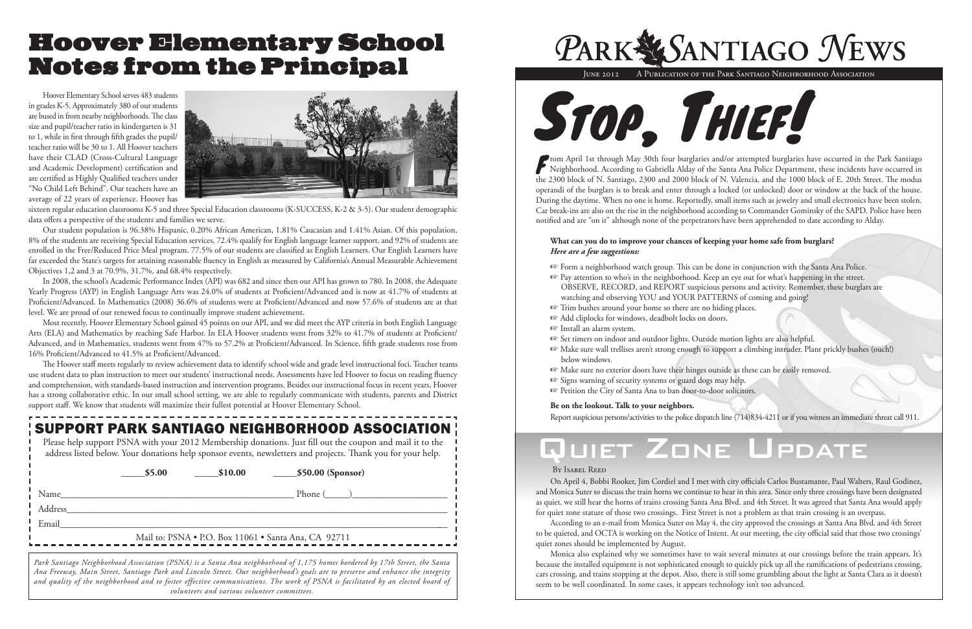*Park Santiago Neighborhood Association (PSNA) is a Santa Ana neighborhood of 1,175 homes bordered by 17th Street, the Santa Ana Freeway, Main Street, Santiago Park and Lincoln Street. Our neighborhood's goals are to preserve and enhance the integrity and quality of the neighborhood and to foster effective communications. The work of PSNA is facilitated by an elected board of volunteers and various volunteer committees.*



### SUPPORT PARK SANTIAGO NEIGHBORHOOD ASSOCIATION

|  | Please help support PSNA with your 2012 Membership donations. Just fill out the coupon and mail it to the    |
|--|--------------------------------------------------------------------------------------------------------------|
|  | address listed below. Your donations help sponsor events, newsletters and projects. Thank you for your help. |

**\_\_\_\_\_\$5.00 \_\_\_\_\_\$10.00 \_\_\_\_\_\$50.00 (Sponsor)**

Name\_\_\_\_\_\_\_\_\_\_\_\_\_\_\_\_\_\_\_\_\_\_\_\_\_\_\_\_\_\_\_\_\_\_\_\_\_\_\_\_\_\_\_\_\_\_\_\_\_ Phone (\_\_\_\_\_)\_\_\_\_\_\_\_\_\_\_\_\_\_\_\_\_\_\_\_\_

Address\_\_\_\_\_\_\_\_\_\_\_\_\_\_\_\_\_\_\_\_\_\_\_\_\_\_\_\_\_\_\_\_\_\_\_\_\_\_\_\_\_\_\_\_\_\_\_\_\_\_\_\_\_\_\_\_\_\_\_\_\_\_\_\_\_\_\_\_\_\_\_\_\_\_\_\_\_\_\_\_

From April 1st through May 30th four burglaries and/or attempted burglaries have occurred in the Park Santiago<br>Neighborhood. According to Gabriella Alday of the Santa Ana Police Department, these incidents have occurred in the 2300 block of N. Santiago, 2300 and 2000 block of N. Valencia, and the 1000 block of E. 20th Street. The modus operandi of the burglars is to break and enter through a locked (or unlocked) door or window at the back of the house. During the daytime. When no one is home. Reportedly, small items such as jewelry and small electronics have been stolen. Car break-ins are also on the rise in the neighborhood according to Commander Gominsky of the SAPD. Police have been notified and are "on it" although none of the perpetrators have been apprehended to date according to Alday.

Email\_\_\_\_\_\_\_\_\_\_\_\_\_\_\_\_\_\_\_\_\_\_\_\_\_\_\_\_\_\_\_\_\_\_\_\_\_\_\_\_\_\_\_\_\_\_\_\_\_\_\_\_\_\_\_\_\_\_\_\_\_\_\_\_\_\_\_\_\_\_\_\_\_\_\_\_\_\_\_\_\_\_

Mail to: PSNA • P.O. Box 11061 • Santa Ana, CA 92711



#### **What can you do to improve your chances of keeping your home safe from burglars?**  *Here are a few suggestions:*

☞ Pay attention to who's in the neighborhood. Keep an eye out for what's happening in the street. OBSERVE, RECORD, and REPORT suspicious persons and activity. Remember, these burglars are

- ☞ Form a neighborhood watch group. This can be done in conjunction with the Santa Ana Police.
- watching and observing YOU and YOUR PATTERNS of coming and going!
- ☞ Trim bushes around your home so there are no hiding places.
- ☞ Add cliplocks for windows, deadbolt locks on doors. ☞ Install an alarm system.
- 
- below windows.
- ☞ Make sure no exterior doors have their hinges outside as these can be easily removed.
- ☞ Signs warning of security systems or guard dogs may help.
- ☞ Petition the City of Santa Ana to ban door-to-door solicitors.

☞ Set timers on indoor and outdoor lights. Outside motion lights are also helpful. ☞ Make sure wall trellises aren't strong enough to support a climbing intruder. Plant prickly bushes (ouch!)

### **Be on the lookout. Talk to your neighbors.**

Report suspicious persons/activities to the police dispatch line (714)834-4211 or if you witness an immediate threat call 911.

## Quiet Zone Update

### By Isabel Reed

l

On April 4, Bobbi Rooker, Jim Cordiel and I met with city officials Carlos Bustamante, Paul Walters, Raul Godinez, and Monica Suter to discuss the train horns we continue to hear in this area. Since only three crossings have been designated as quiet, we still hear the horns of trains crossing Santa Ana Blvd. and 4th Street. It was agreed that Santa Ana would apply for quiet zone stature of those two crossings. First Street is not a problem as that train crossing is an overpass.

According to an e-mail from Monica Suter on May 4, the city approved the crossings at Santa Ana Blvd. and 4th Street to be quieted, and OCTA is working on the Notice of Intent. At our meeting, the city official said that those two crossings' quiet zones should be implemented by August.

Monica also explained why we sometimes have to wait several minutes at our crossings before the train appears. It's because the installed equipment is not sophisticated enough to quickly pick up all the ramifications of pedestrians crossing, cars crossing, and trains stopping at the depot. Also, there is still some grumbling about the light at Santa Clara as it doesn't seem to be well coordinated. In some cases, it appears technology isn't too advanced.

# PARK SANTIAGO NEWS

JUNE 2012 A PUBLICATION OF THE PARK SANTIAGO NEIGHBORHOOD ASSOCIATION

## Hoover Elementary School Notes from the Principal

Hoover Elementary School serves 483 students in grades K-5. Approximately 380 of our students are bused in from nearby neighborhoods. The class size and pupil/teacher ratio in kindergarten is 31 to 1, while in first through fifth grades the pupil/ teacher ratio will be 30 to 1. All Hoover teachers have their CLAD (Cross-Cultural Language and Academic Development) certification and are certified as Highly Qualified teachers under "No Child Left Behind". Our teachers have an average of 22 years of experience. Hoover has



sixteen regular education classrooms K-5 and three Special Education classrooms (K-SUCCESS, K-2 & 3-5). Our student demographic data offers a perspective of the students and families we serve.

Our student population is 96.38% Hispanic, 0.20% African American, 1.81% Caucasian and 1.41% Asian. Of this population, 8% of the students are receiving Special Education services, 72.4% qualify for English language learner support, and 92% of students are enrolled in the Free/Reduced Price Meal program. 77.5% of our students are classified as English Learners. Our English Learners have far exceeded the State's targets for attaining reasonable fluency in English as measured by California's Annual Measurable Achievement Objectives 1,2 and 3 at 70.9%, 31.7%, and 68.4% respectively.

In 2008, the school's Academic Performance Index (API) was 682 and since then our API has grown to 780. In 2008, the Adequate Yearly Progress (AYP) in English Language Arts was 24.0% of students at Proficient/Advanced and is now at 41.7% of students at Proficient/Advanced. In Mathematics (2008) 36.6% of students were at Proficient/Advanced and now 57.6% of students are at that level. We are proud of our renewed focus to continually improve student achievement.

Most recently, Hoover Elementary School gained 45 points on our API, and we did meet the AYP criteria in both English Language Arts (ELA) and Mathematics by reaching Safe Harbor. In ELA Hoover students went from 32% to 41.7% of students at Proficient/ Advanced, and in Mathematics, students went from 47% to 57.2% at Proficient/Advanced. In Science, fifth grade students rose from 16% Proficient/Advanced to 41.5% at Proficient/Advanced.

The Hoover staff meets regularly to review achievement data to identify school wide and grade level instructional foci. Teacher teams use student data to plan instruction to meet our students' instructional needs. Assessments have led Hoover to focus on reading fluency and comprehension, with standards-based instruction and intervention programs. Besides our instructional focus in recent years, Hoover has a strong collaborative ethic. In our small school setting, we are able to regularly communicate with students, parents and District support staff. We know that students will maximize their fullest potential at Hoover Elementary School.